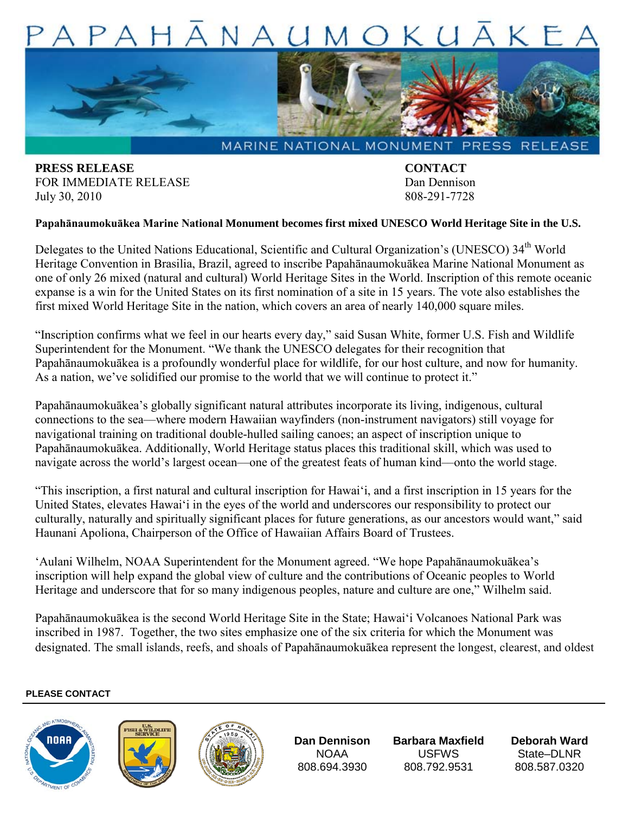## $NA$  $U$  $APA$ OKUAKE



MARINE NATIONAL MONUMENT PRESS RELEASE

**PRESS RELEASE CONTACT** FOR IMMEDIATE RELEASE DAN DENINGIAL DAN DENINSON July 30, 2010 808-291-7728

## **Papahānaumokuākea Marine National Monument becomes first mixed UNESCO World Heritage Site in the U.S.**

Delegates to the United Nations Educational, Scientific and Cultural Organization's (UNESCO) 34<sup>th</sup> World Heritage Convention in Brasilia, Brazil, agreed to inscribe Papahānaumokuākea Marine National Monument as one of only 26 mixed (natural and cultural) World Heritage Sites in the World. Inscription of this remote oceanic expanse is a win for the United States on its first nomination of a site in 15 years. The vote also establishes the first mixed World Heritage Site in the nation, which covers an area of nearly 140,000 square miles.

"Inscription confirms what we feel in our hearts every day," said Susan White, former U.S. Fish and Wildlife Superintendent for the Monument. "We thank the UNESCO delegates for their recognition that Papahānaumokuākea is a profoundly wonderful place for wildlife, for our host culture, and now for humanity. As a nation, we've solidified our promise to the world that we will continue to protect it."

Papahānaumokuākea's globally significant natural attributes incorporate its living, indigenous, cultural connections to the sea––where modern Hawaiian wayfinders (non-instrument navigators) still voyage for navigational training on traditional double-hulled sailing canoes; an aspect of inscription unique to Papahānaumokuākea. Additionally, World Heritage status places this traditional skill, which was used to navigate across the world's largest ocean—one of the greatest feats of human kind—onto the world stage.

"This inscription, a first natural and cultural inscription for Hawai'i, and a first inscription in 15 years for the United States, elevates Hawai'i in the eyes of the world and underscores our responsibility to protect our culturally, naturally and spiritually significant places for future generations, as our ancestors would want," said Haunani Apoliona, Chairperson of the Office of Hawaiian Affairs Board of Trustees.

'Aulani Wilhelm, NOAA Superintendent for the Monument agreed. "We hope Papahānaumokuākea's inscription will help expand the global view of culture and the contributions of Oceanic peoples to World Heritage and underscore that for so many indigenous peoples, nature and culture are one," Wilhelm said.

Papahānaumokuākea is the second World Heritage Site in the State; Hawai'i Volcanoes National Park was inscribed in 1987. Together, the two sites emphasize one of the six criteria for which the Monument was designated. The small islands, reefs, and shoals of Papahānaumokuākea represent the longest, clearest, and oldest

## **PLEASE CONTACT**







**Dan Dennison** NOAA 808.694.3930

**Barbara Maxfield**  USFWS 808.792.9531

**Deborah Ward** State–DLNR 808.587.0320